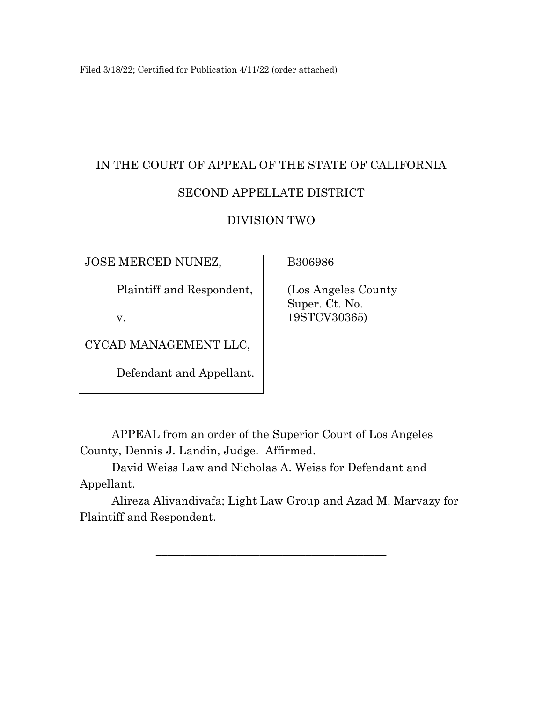Filed 3/18/22; Certified for Publication 4/11/22 (order attached)

# IN THE COURT OF APPEAL OF THE STATE OF CALIFORNIA SECOND APPELLATE DISTRICT

## DIVISION TWO

JOSE MERCED NUNEZ,

B306986

Plaintiff and Respondent,

v.

CYCAD MANAGEMENT LLC,

Defendant and Appellant.

 (Los Angeles County Super. Ct. No. 19STCV30365)

APPEAL from an order of the Superior Court of Los Angeles County, Dennis J. Landin, Judge. Affirmed.

David Weiss Law and Nicholas A. Weiss for Defendant and Appellant.

Alireza Alivandivafa; Light Law Group and Azad M. Marvazy for Plaintiff and Respondent.

\_\_\_\_\_\_\_\_\_\_\_\_\_\_\_\_\_\_\_\_\_\_\_\_\_\_\_\_\_\_\_\_\_\_\_\_\_\_\_\_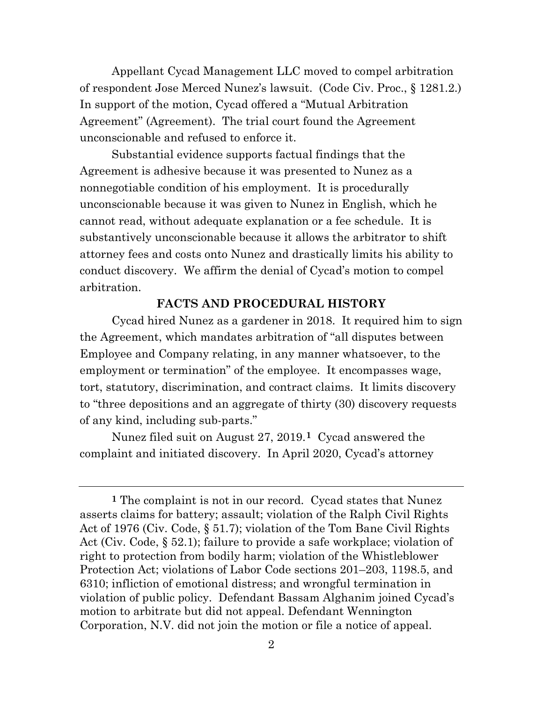Appellant Cycad Management LLC moved to compel arbitration of respondent Jose Merced Nunez's lawsuit. (Code Civ. Proc., § 1281.2.) In support of the motion, Cycad offered a "Mutual Arbitration Agreement" (Agreement). The trial court found the Agreement unconscionable and refused to enforce it.

Substantial evidence supports factual findings that the Agreement is adhesive because it was presented to Nunez as a nonnegotiable condition of his employment. It is procedurally unconscionable because it was given to Nunez in English, which he cannot read, without adequate explanation or a fee schedule. It is substantively unconscionable because it allows the arbitrator to shift attorney fees and costs onto Nunez and drastically limits his ability to conduct discovery. We affirm the denial of Cycad's motion to compel arbitration.

## **FACTS AND PROCEDURAL HISTORY**

Cycad hired Nunez as a gardener in 2018. It required him to sign the Agreement, which mandates arbitration of "all disputes between Employee and Company relating, in any manner whatsoever, to the employment or termination" of the employee. It encompasses wage, tort, statutory, discrimination, and contract claims. It limits discovery to "three depositions and an aggregate of thirty (30) discovery requests of any kind, including sub-parts."

Nunez filed suit on August 27, 2019.**[1](#page-1-0)** Cycad answered the complaint and initiated discovery. In April 2020, Cycad's attorney

<span id="page-1-0"></span>**<sup>1</sup>** The complaint is not in our record. Cycad states that Nunez asserts claims for battery; assault; violation of the Ralph Civil Rights Act of 1976 (Civ. Code, § 51.7); violation of the Tom Bane Civil Rights Act (Civ. Code, § 52.1); failure to provide a safe workplace; violation of right to protection from bodily harm; violation of the Whistleblower Protection Act; violations of Labor Code sections 201–203, 1198.5, and 6310; infliction of emotional distress; and wrongful termination in violation of public policy. Defendant Bassam Alghanim joined Cycad's motion to arbitrate but did not appeal. Defendant Wennington Corporation, N.V. did not join the motion or file a notice of appeal.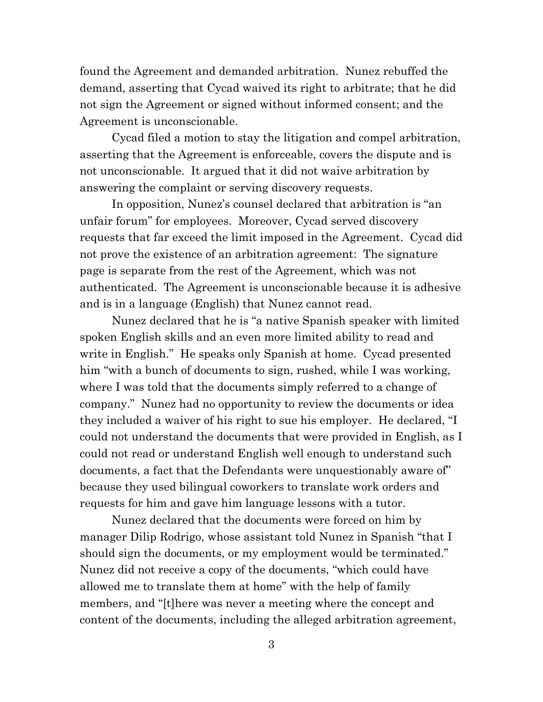found the Agreement and demanded arbitration. Nunez rebuffed the demand, asserting that Cycad waived its right to arbitrate; that he did not sign the Agreement or signed without informed consent; and the Agreement is unconscionable.

Cycad filed a motion to stay the litigation and compel arbitration, asserting that the Agreement is enforceable, covers the dispute and is not unconscionable. It argued that it did not waive arbitration by answering the complaint or serving discovery requests.

In opposition, Nunez's counsel declared that arbitration is "an unfair forum" for employees. Moreover, Cycad served discovery requests that far exceed the limit imposed in the Agreement. Cycad did not prove the existence of an arbitration agreement: The signature page is separate from the rest of the Agreement, which was not authenticated. The Agreement is unconscionable because it is adhesive and is in a language (English) that Nunez cannot read.

Nunez declared that he is "a native Spanish speaker with limited spoken English skills and an even more limited ability to read and write in English." He speaks only Spanish at home. Cycad presented him "with a bunch of documents to sign, rushed, while I was working, where I was told that the documents simply referred to a change of company." Nunez had no opportunity to review the documents or idea they included a waiver of his right to sue his employer. He declared, "I could not understand the documents that were provided in English, as I could not read or understand English well enough to understand such documents, a fact that the Defendants were unquestionably aware of" because they used bilingual coworkers to translate work orders and requests for him and gave him language lessons with a tutor.

Nunez declared that the documents were forced on him by manager Dilip Rodrigo, whose assistant told Nunez in Spanish "that I should sign the documents, or my employment would be terminated." Nunez did not receive a copy of the documents, "which could have allowed me to translate them at home" with the help of family members, and "[t]here was never a meeting where the concept and content of the documents, including the alleged arbitration agreement,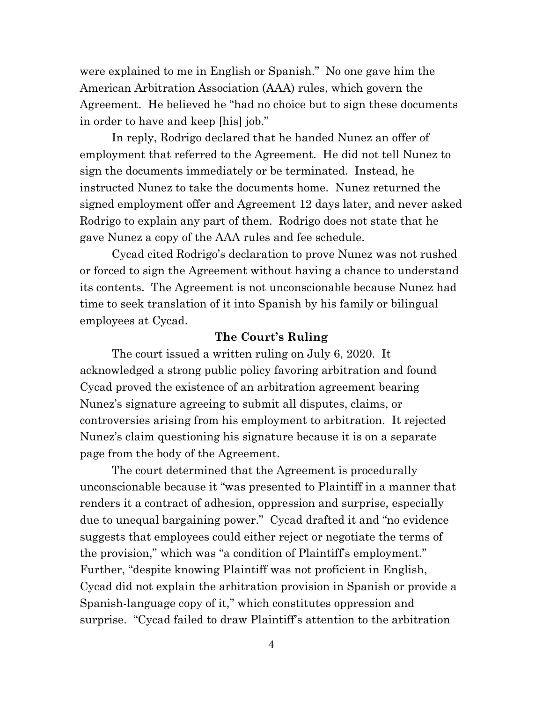were explained to me in English or Spanish." No one gave him the American Arbitration Association (AAA) rules, which govern the Agreement. He believed he "had no choice but to sign these documents in order to have and keep [his] job."

In reply, Rodrigo declared that he handed Nunez an offer of employment that referred to the Agreement. He did not tell Nunez to sign the documents immediately or be terminated. Instead, he instructed Nunez to take the documents home. Nunez returned the signed employment offer and Agreement 12 days later, and never asked Rodrigo to explain any part of them. Rodrigo does not state that he gave Nunez a copy of the AAA rules and fee schedule.

Cycad cited Rodrigo's declaration to prove Nunez was not rushed or forced to sign the Agreement without having a chance to understand its contents. The Agreement is not unconscionable because Nunez had time to seek translation of it into Spanish by his family or bilingual employees at Cycad.

#### **The Court's Ruling**

The court issued a written ruling on July 6, 2020. It acknowledged a strong public policy favoring arbitration and found Cycad proved the existence of an arbitration agreement bearing Nunez's signature agreeing to submit all disputes, claims, or controversies arising from his employment to arbitration. It rejected Nunez's claim questioning his signature because it is on a separate page from the body of the Agreement.

The court determined that the Agreement is procedurally unconscionable because it "was presented to Plaintiff in a manner that renders it a contract of adhesion, oppression and surprise, especially due to unequal bargaining power." Cycad drafted it and "no evidence suggests that employees could either reject or negotiate the terms of the provision," which was "a condition of Plaintiff's employment." Further, "despite knowing Plaintiff was not proficient in English, Cycad did not explain the arbitration provision in Spanish or provide a Spanish-language copy of it," which constitutes oppression and surprise. "Cycad failed to draw Plaintiff's attention to the arbitration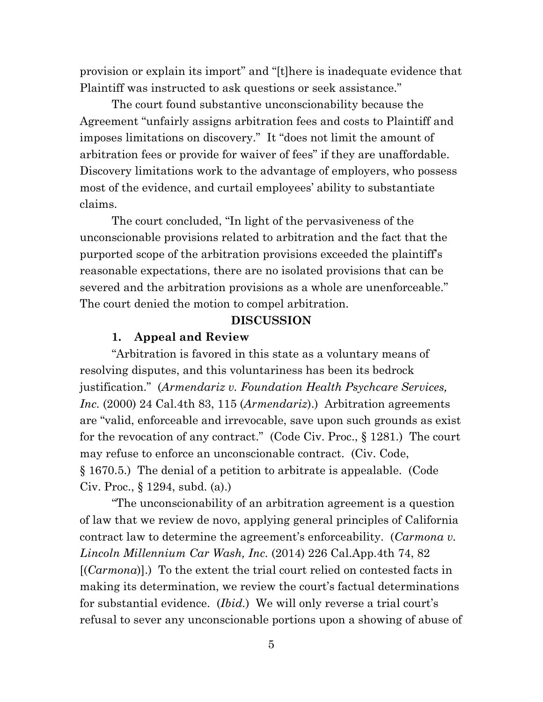provision or explain its import" and "[t]here is inadequate evidence that Plaintiff was instructed to ask questions or seek assistance."

The court found substantive unconscionability because the Agreement "unfairly assigns arbitration fees and costs to Plaintiff and imposes limitations on discovery." It "does not limit the amount of arbitration fees or provide for waiver of fees" if they are unaffordable. Discovery limitations work to the advantage of employers, who possess most of the evidence, and curtail employees' ability to substantiate claims.

The court concluded, "In light of the pervasiveness of the unconscionable provisions related to arbitration and the fact that the purported scope of the arbitration provisions exceeded the plaintiff's reasonable expectations, there are no isolated provisions that can be severed and the arbitration provisions as a whole are unenforceable." The court denied the motion to compel arbitration.

#### **DISCUSSION**

#### **1. Appeal and Review**

"Arbitration is favored in this state as a voluntary means of resolving disputes, and this voluntariness has been its bedrock justification." (*Armendariz v. Foundation Health Psychcare Services, Inc.* (2000) 24 Cal.4th 83, 115 (*Armendariz*).) Arbitration agreements are "valid, enforceable and irrevocable, save upon such grounds as exist for the revocation of any contract." (Code Civ. Proc., § 1281.) The court may refuse to enforce an unconscionable contract. (Civ. Code, § 1670.5.) The denial of a petition to arbitrate is appealable. (Code Civ. Proc., § 1294, subd. (a).)

"The unconscionability of an arbitration agreement is a question of law that we review de novo, applying general principles of California contract law to determine the agreement's enforceability. (*Carmona v. Lincoln Millennium Car Wash, Inc.* (2014) 226 Cal.App.4th 74, 82 [(*Carmona*)].) To the extent the trial court relied on contested facts in making its determination, we review the court's factual determinations for substantial evidence. (*Ibid.*) We will only reverse a trial court's refusal to sever any unconscionable portions upon a showing of abuse of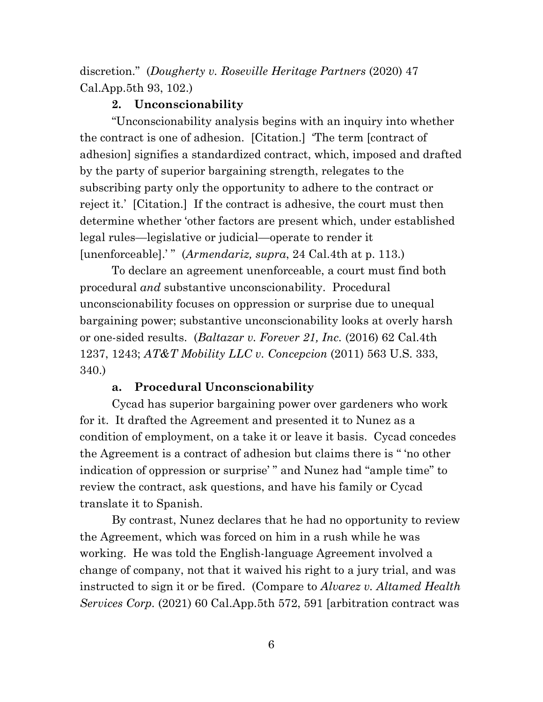discretion." (*Dougherty v. Roseville Heritage Partners* (2020) 47 Cal.App.5th 93, 102.)

## **2. Unconscionability**

"Unconscionability analysis begins with an inquiry into whether the contract is one of adhesion. [Citation.] 'The term [contract of adhesion] signifies a standardized contract, which, imposed and drafted by the party of superior bargaining strength, relegates to the subscribing party only the opportunity to adhere to the contract or reject it.' [Citation.] If the contract is adhesive, the court must then determine whether 'other factors are present which, under established legal rules—legislative or judicial—operate to render it [unenforceable].' " (*Armendariz, supra*, 24 Cal.4th at p. 113.)

To declare an agreement unenforceable, a court must find both procedural *and* substantive unconscionability. Procedural unconscionability focuses on oppression or surprise due to unequal bargaining power; substantive unconscionability looks at overly harsh or one-sided results. (*Baltazar v. Forever 21, Inc.* (2016) 62 Cal.4th 1237, 1243; *AT&T Mobility LLC v. Concepcion* (2011) 563 U.S. 333, 340.)

## **a. Procedural Unconscionability**

Cycad has superior bargaining power over gardeners who work for it. It drafted the Agreement and presented it to Nunez as a condition of employment, on a take it or leave it basis. Cycad concedes the Agreement is a contract of adhesion but claims there is " 'no other indication of oppression or surprise' " and Nunez had "ample time" to review the contract, ask questions, and have his family or Cycad translate it to Spanish.

By contrast, Nunez declares that he had no opportunity to review the Agreement, which was forced on him in a rush while he was working. He was told the English-language Agreement involved a change of company, not that it waived his right to a jury trial, and was instructed to sign it or be fired. (Compare to *Alvarez v. Altamed Health Services Corp.* (2021) 60 Cal.App.5th 572, 591 [arbitration contract was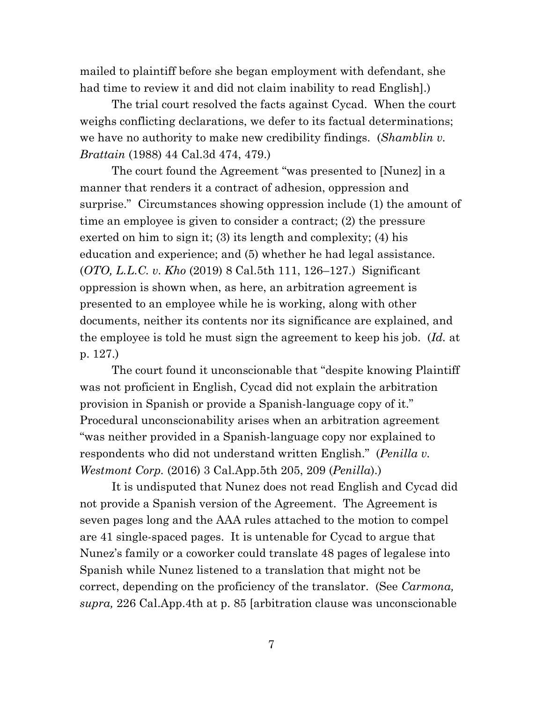mailed to plaintiff before she began employment with defendant, she had time to review it and did not claim inability to read English].)

The trial court resolved the facts against Cycad. When the court weighs conflicting declarations, we defer to its factual determinations; we have no authority to make new credibility findings. (*Shamblin v. Brattain* (1988) 44 Cal.3d 474, 479.)

The court found the Agreement "was presented to [Nunez] in a manner that renders it a contract of adhesion, oppression and surprise." Circumstances showing oppression include (1) the amount of time an employee is given to consider a contract; (2) the pressure exerted on him to sign it; (3) its length and complexity; (4) his education and experience; and (5) whether he had legal assistance. (*OTO, L.L.C. v. Kho* (2019) 8 Cal.5th 111, 126–127.) Significant oppression is shown when, as here, an arbitration agreement is presented to an employee while he is working, along with other documents, neither its contents nor its significance are explained, and the employee is told he must sign the agreement to keep his job. (*Id.* at p. 127.)

The court found it unconscionable that "despite knowing Plaintiff was not proficient in English, Cycad did not explain the arbitration provision in Spanish or provide a Spanish-language copy of it." Procedural unconscionability arises when an arbitration agreement "was neither provided in a Spanish-language copy nor explained to respondents who did not understand written English." (*Penilla v. Westmont Corp.* (2016) 3 Cal.App.5th 205, 209 (*Penilla*).)

It is undisputed that Nunez does not read English and Cycad did not provide a Spanish version of the Agreement. The Agreement is seven pages long and the AAA rules attached to the motion to compel are 41 single-spaced pages. It is untenable for Cycad to argue that Nunez's family or a coworker could translate 48 pages of legalese into Spanish while Nunez listened to a translation that might not be correct, depending on the proficiency of the translator. (See *Carmona, supra,* 226 Cal.App.4th at p. 85 [arbitration clause was unconscionable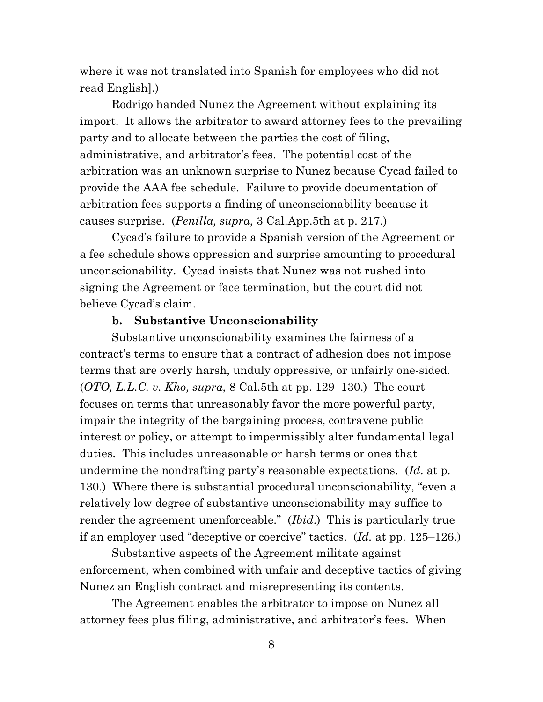where it was not translated into Spanish for employees who did not read English].)

Rodrigo handed Nunez the Agreement without explaining its import. It allows the arbitrator to award attorney fees to the prevailing party and to allocate between the parties the cost of filing, administrative, and arbitrator's fees. The potential cost of the arbitration was an unknown surprise to Nunez because Cycad failed to provide the AAA fee schedule. Failure to provide documentation of arbitration fees supports a finding of unconscionability because it causes surprise. (*Penilla, supra,* 3 Cal.App.5th at p. 217.)

Cycad's failure to provide a Spanish version of the Agreement or a fee schedule shows oppression and surprise amounting to procedural unconscionability. Cycad insists that Nunez was not rushed into signing the Agreement or face termination, but the court did not believe Cycad's claim.

#### **b. Substantive Unconscionability**

Substantive unconscionability examines the fairness of a contract's terms to ensure that a contract of adhesion does not impose terms that are overly harsh, unduly oppressive, or unfairly one-sided. (*OTO, L.L.C. v. Kho, supra,* 8 Cal.5th at pp. 129–130.) The court focuses on terms that unreasonably favor the more powerful party, impair the integrity of the bargaining process, contravene public interest or policy, or attempt to impermissibly alter fundamental legal duties. This includes unreasonable or harsh terms or ones that undermine the nondrafting party's reasonable expectations. (*Id*. at p. 130.) Where there is substantial procedural unconscionability, "even a relatively low degree of substantive unconscionability may suffice to render the agreement unenforceable." (*Ibid*.) This is particularly true if an employer used "deceptive or coercive" tactics. (*Id.* at pp. 125–126.)

Substantive aspects of the Agreement militate against enforcement, when combined with unfair and deceptive tactics of giving Nunez an English contract and misrepresenting its contents.

The Agreement enables the arbitrator to impose on Nunez all attorney fees plus filing, administrative, and arbitrator's fees. When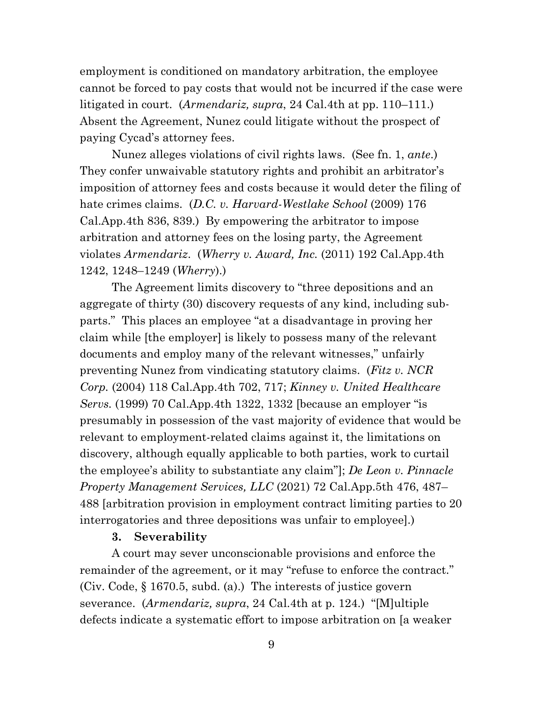employment is conditioned on mandatory arbitration, the employee cannot be forced to pay costs that would not be incurred if the case were litigated in court. (*Armendariz, supra*, 24 Cal.4th at pp. 110–111.) Absent the Agreement, Nunez could litigate without the prospect of paying Cycad's attorney fees.

Nunez alleges violations of civil rights laws. (See fn. 1, *ante*.) They confer unwaivable statutory rights and prohibit an arbitrator's imposition of attorney fees and costs because it would deter the filing of hate crimes claims. (*D.C. v. Harvard-Westlake School* (2009) 176 Cal.App.4th 836, 839.) By empowering the arbitrator to impose arbitration and attorney fees on the losing party, the Agreement violates *Armendariz*. (*Wherry v. Award, Inc.* (2011) 192 Cal.App.4th 1242, 1248–1249 (*Wherry*).)

The Agreement limits discovery to "three depositions and an aggregate of thirty (30) discovery requests of any kind, including subparts." This places an employee "at a disadvantage in proving her claim while [the employer] is likely to possess many of the relevant documents and employ many of the relevant witnesses," unfairly preventing Nunez from vindicating statutory claims. (*Fitz v. NCR Corp.* (2004) 118 Cal.App.4th 702, 717; *Kinney v. United Healthcare Servs.* (1999) 70 Cal.App.4th 1322, 1332 [because an employer "is presumably in possession of the vast majority of evidence that would be relevant to employment-related claims against it, the limitations on discovery, although equally applicable to both parties, work to curtail the employee's ability to substantiate any claim"]; *De Leon v. Pinnacle Property Management Services, LLC* (2021) 72 Cal.App.5th 476, 487– 488 [arbitration provision in employment contract limiting parties to 20 interrogatories and three depositions was unfair to employee].)

#### **3. Severability**

A court may sever unconscionable provisions and enforce the remainder of the agreement, or it may "refuse to enforce the contract." (Civ. Code, § 1670.5, subd. (a).) The interests of justice govern severance. (*Armendariz, supra*, 24 Cal.4th at p. 124.) "[M]ultiple defects indicate a systematic effort to impose arbitration on [a weaker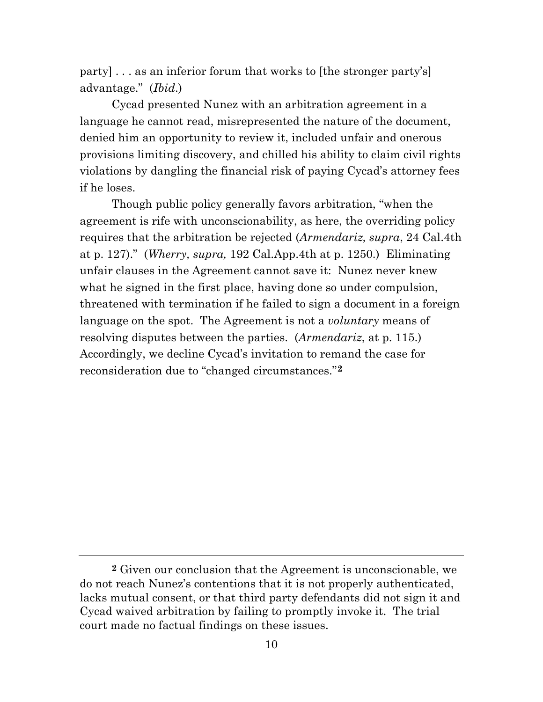party] . . . as an inferior forum that works to [the stronger party's] advantage." (*Ibid*.)

Cycad presented Nunez with an arbitration agreement in a language he cannot read, misrepresented the nature of the document, denied him an opportunity to review it, included unfair and onerous provisions limiting discovery, and chilled his ability to claim civil rights violations by dangling the financial risk of paying Cycad's attorney fees if he loses.

Though public policy generally favors arbitration, "when the agreement is rife with unconscionability, as here, the overriding policy requires that the arbitration be rejected (*Armendariz, supra*, 24 Cal.4th at p. 127)." (*Wherry, supra,* 192 Cal.App.4th at p. 1250.) Eliminating unfair clauses in the Agreement cannot save it: Nunez never knew what he signed in the first place, having done so under compulsion, threatened with termination if he failed to sign a document in a foreign language on the spot. The Agreement is not a *voluntary* means of resolving disputes between the parties. (*Armendariz*, at p. 115.) Accordingly, we decline Cycad's invitation to remand the case for reconsideration due to "changed circumstances."**[2](#page-9-0)**

<span id="page-9-0"></span>**<sup>2</sup>** Given our conclusion that the Agreement is unconscionable, we do not reach Nunez's contentions that it is not properly authenticated, lacks mutual consent, or that third party defendants did not sign it and Cycad waived arbitration by failing to promptly invoke it. The trial court made no factual findings on these issues.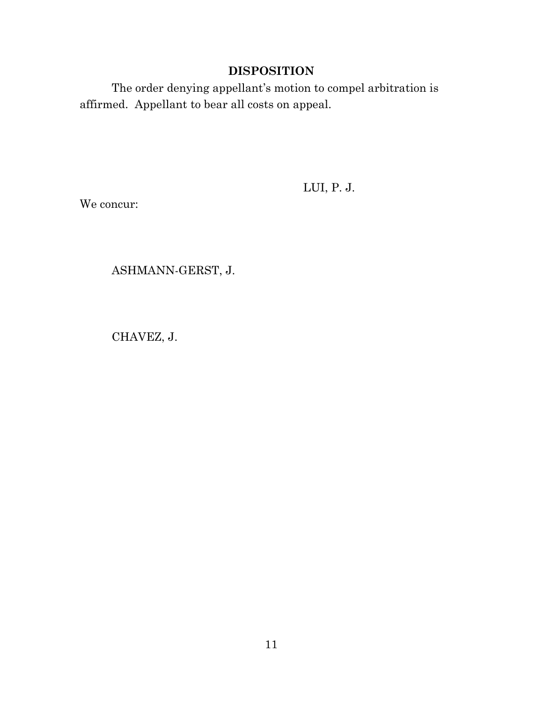## **DISPOSITION**

The order denying appellant's motion to compel arbitration is affirmed. Appellant to bear all costs on appeal.

LUI, P. J.

We concur:

ASHMANN-GERST, J.

CHAVEZ, J.